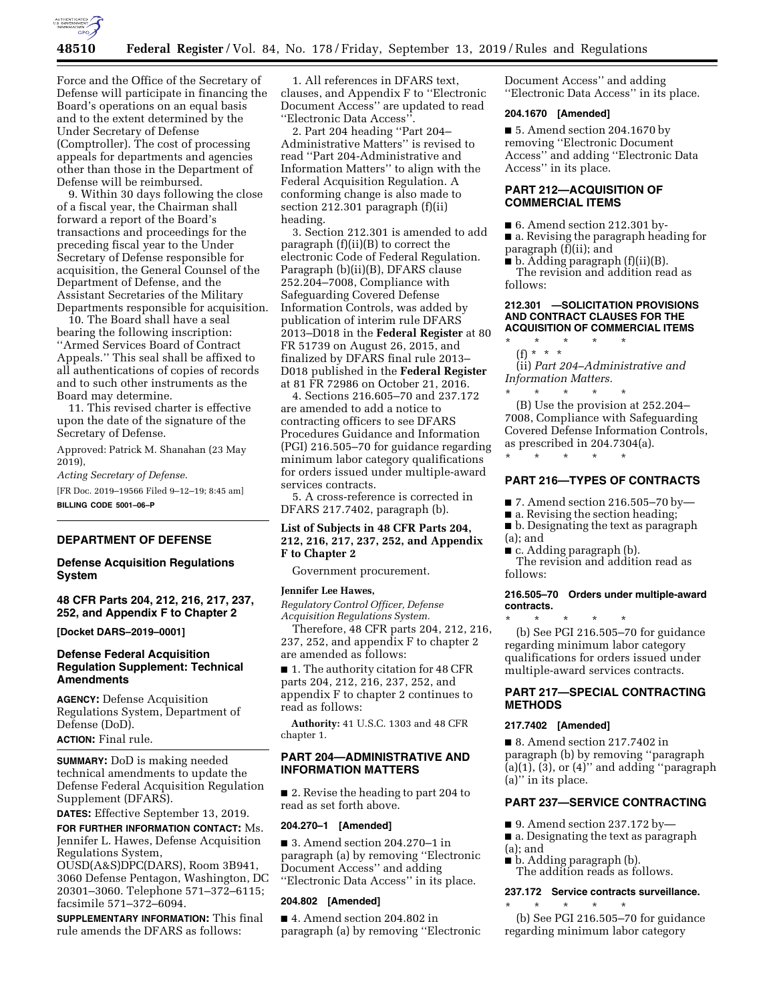

Force and the Office of the Secretary of Defense will participate in financing the Board's operations on an equal basis and to the extent determined by the Under Secretary of Defense (Comptroller). The cost of processing appeals for departments and agencies other than those in the Department of Defense will be reimbursed.

9. Within 30 days following the close of a fiscal year, the Chairman shall forward a report of the Board's transactions and proceedings for the preceding fiscal year to the Under Secretary of Defense responsible for acquisition, the General Counsel of the Department of Defense, and the Assistant Secretaries of the Military Departments responsible for acquisition.

10. The Board shall have a seal bearing the following inscription: ''Armed Services Board of Contract Appeals.'' This seal shall be affixed to all authentications of copies of records and to such other instruments as the Board may determine.

11. This revised charter is effective upon the date of the signature of the Secretary of Defense.

Approved: Patrick M. Shanahan (23 May 2019),

*Acting Secretary of Defense*.

[FR Doc. 2019–19566 Filed 9–12–19; 8:45 am] **BILLING CODE 5001–06–P** 

#### **DEPARTMENT OF DEFENSE**

### **Defense Acquisition Regulations System**

**48 CFR Parts 204, 212, 216, 217, 237, 252, and Appendix F to Chapter 2** 

**[Docket DARS–2019–0001]** 

## **Defense Federal Acquisition Regulation Supplement: Technical Amendments**

**AGENCY:** Defense Acquisition Regulations System, Department of Defense (DoD). **ACTION:** Final rule.

**SUMMARY:** DoD is making needed technical amendments to update the Defense Federal Acquisition Regulation Supplement (DFARS).

**DATES:** Effective September 13, 2019.

**FOR FURTHER INFORMATION CONTACT:** Ms. Jennifer L. Hawes, Defense Acquisition Regulations System,

OUSD(A&S)DPC(DARS), Room 3B941, 3060 Defense Pentagon, Washington, DC 20301–3060. Telephone 571–372–6115; facsimile 571–372–6094.

**SUPPLEMENTARY INFORMATION:** This final rule amends the DFARS as follows:

1. All references in DFARS text, clauses, and Appendix F to ''Electronic Document Access'' are updated to read ''Electronic Data Access''.

2. Part 204 heading ''Part 204– Administrative Matters'' is revised to read ''Part 204-Administrative and Information Matters'' to align with the Federal Acquisition Regulation. A conforming change is also made to section 212.301 paragraph (f)(ii) heading.

3. Section 212.301 is amended to add paragraph (f)(ii)(B) to correct the electronic Code of Federal Regulation. Paragraph (b)(ii)(B), DFARS clause 252.204–7008, Compliance with Safeguarding Covered Defense Information Controls, was added by publication of interim rule DFARS 2013–D018 in the **Federal Register** at 80 FR 51739 on August 26, 2015, and finalized by DFARS final rule 2013– D018 published in the **Federal Register**  at 81 FR 72986 on October 21, 2016.

4. Sections 216.605–70 and 237.172 are amended to add a notice to contracting officers to see DFARS Procedures Guidance and Information (PGI) 216.505–70 for guidance regarding minimum labor category qualifications for orders issued under multiple-award services contracts.

5. A cross-reference is corrected in DFARS 217.7402, paragraph (b).

## **List of Subjects in 48 CFR Parts 204, 212, 216, 217, 237, 252, and Appendix F to Chapter 2**

Government procurement.

#### **Jennifer Lee Hawes,**

*Regulatory Control Officer, Defense Acquisition Regulations System.* 

Therefore, 48 CFR parts 204, 212, 216, 237, 252, and appendix F to chapter 2 are amended as follows:

■ 1. The authority citation for 48 CFR parts 204, 212, 216, 237, 252, and appendix F to chapter 2 continues to read as follows:

**Authority:** 41 U.S.C. 1303 and 48 CFR chapter 1.

## **PART 204—ADMINISTRATIVE AND INFORMATION MATTERS**

■ 2. Revise the heading to part 204 to read as set forth above.

## **204.270–1 [Amended]**

■ 3. Amend section 204.270–1 in paragraph (a) by removing ''Electronic Document Access'' and adding ''Electronic Data Access'' in its place.

## **204.802 [Amended]**

■ 4. Amend section 204.802 in paragraph (a) by removing ''Electronic Document Access'' and adding ''Electronic Data Access'' in its place.

#### **204.1670 [Amended]**

■ 5. Amend section 204.1670 by removing ''Electronic Document Access'' and adding ''Electronic Data Access'' in its place.

## **PART 212—ACQUISITION OF COMMERCIAL ITEMS**

■ 6. Amend section 212.301 by-

■ a. Revising the paragraph heading for paragraph (f)(ii); and

■ b. Adding paragraph (f)(ii)(B). The revision and addition read as follows:

### **212.301 —SOLICITATION PROVISIONS AND CONTRACT CLAUSES FOR THE ACQUISITION OF COMMERCIAL ITEMS**

\* \* \* \* \* (f) \* \* \*

(ii) *Part 204–Administrative and Information Matters.* 

\* \* \* \* \* (B) Use the provision at 252.204– 7008, Compliance with Safeguarding Covered Defense Information Controls, as prescribed in 204.7304(a).

## **PART 216—TYPES OF CONTRACTS**

 $\blacksquare$  7. Amend section 216.505–70 by

- a. Revising the section heading;
- b. Designating the text as paragraph (a); and
- c. Adding paragraph (b).

\* \* \* \* \*

The revision and addition read as follows:

#### **216.505–70 Orders under multiple-award contracts.**

\* \* \* \* \* (b) See PGI 216.505–70 for guidance regarding minimum labor category qualifications for orders issued under multiple-award services contracts.

## **PART 217—SPECIAL CONTRACTING METHODS**

#### **217.7402 [Amended]**

■ 8. Amend section 217.7402 in paragraph (b) by removing ''paragraph  $(a)(1)$ ,  $(3)$ , or  $(4)$ " and adding "paragraph" (a)'' in its place.

## **PART 237—SERVICE CONTRACTING**

- $\blacksquare$  9. Amend section 237.172 by-
- a. Designating the text as paragraph (a); and
- b. Adding paragraph (b).
- The addition reads as follows.

#### **237.172 Service contracts surveillance.**  \* \* \* \* \*

(b) See PGI 216.505–70 for guidance regarding minimum labor category